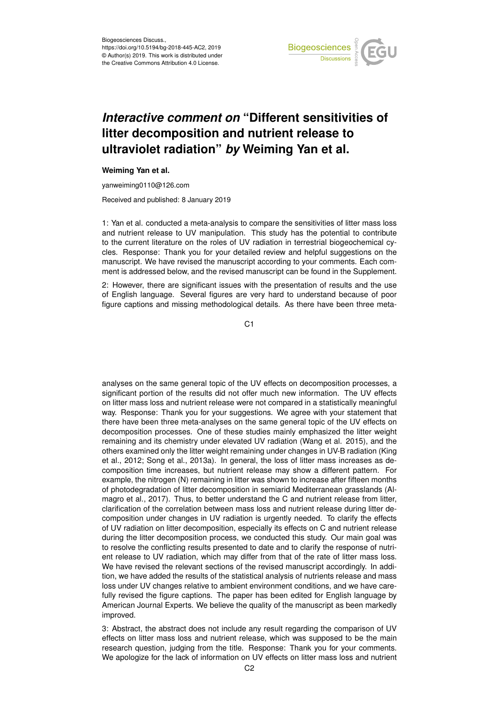

## *Interactive comment on* **"Different sensitivities of litter decomposition and nutrient release to ultraviolet radiation"** *by* **Weiming Yan et al.**

## **Weiming Yan et al.**

yanweiming0110@126.com

Received and published: 8 January 2019

1: Yan et al. conducted a meta-analysis to compare the sensitivities of litter mass loss and nutrient release to UV manipulation. This study has the potential to contribute to the current literature on the roles of UV radiation in terrestrial biogeochemical cycles. Response: Thank you for your detailed review and helpful suggestions on the manuscript. We have revised the manuscript according to your comments. Each comment is addressed below, and the revised manuscript can be found in the Supplement.

2: However, there are significant issues with the presentation of results and the use of English language. Several figures are very hard to understand because of poor figure captions and missing methodological details. As there have been three meta-

C1

analyses on the same general topic of the UV effects on decomposition processes, a significant portion of the results did not offer much new information. The UV effects on litter mass loss and nutrient release were not compared in a statistically meaningful way. Response: Thank you for your suggestions. We agree with your statement that there have been three meta-analyses on the same general topic of the UV effects on decomposition processes. One of these studies mainly emphasized the litter weight remaining and its chemistry under elevated UV radiation (Wang et al. 2015), and the others examined only the litter weight remaining under changes in UV-B radiation (King et al., 2012; Song et al., 2013a). In general, the loss of litter mass increases as decomposition time increases, but nutrient release may show a different pattern. For example, the nitrogen (N) remaining in litter was shown to increase after fifteen months of photodegradation of litter decomposition in semiarid Mediterranean grasslands (Almagro et al., 2017). Thus, to better understand the C and nutrient release from litter, clarification of the correlation between mass loss and nutrient release during litter decomposition under changes in UV radiation is urgently needed. To clarify the effects of UV radiation on litter decomposition, especially its effects on C and nutrient release during the litter decomposition process, we conducted this study. Our main goal was to resolve the conflicting results presented to date and to clarify the response of nutrient release to UV radiation, which may differ from that of the rate of litter mass loss. We have revised the relevant sections of the revised manuscript accordingly. In addition, we have added the results of the statistical analysis of nutrients release and mass loss under UV changes relative to ambient environment conditions, and we have carefully revised the figure captions. The paper has been edited for English language by American Journal Experts. We believe the quality of the manuscript as been markedly improved.

3: Abstract, the abstract does not include any result regarding the comparison of UV effects on litter mass loss and nutrient release, which was supposed to be the main research question, judging from the title. Response: Thank you for your comments. We apologize for the lack of information on UV effects on litter mass loss and nutrient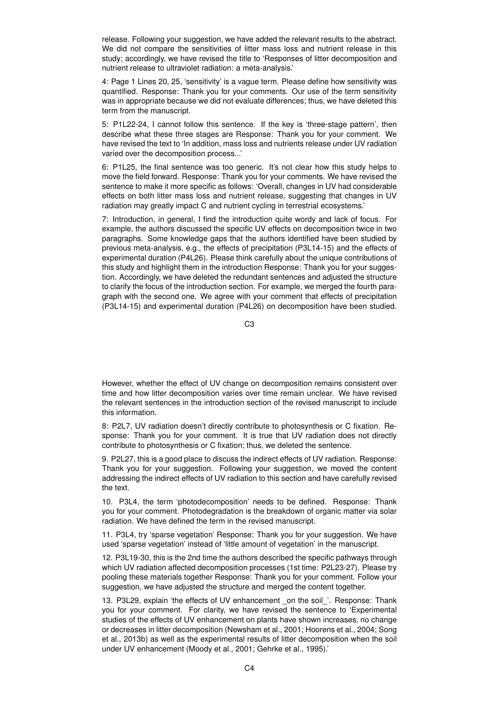release. Following your suggestion, we have added the relevant results to the abstract. We did not compare the sensitivities of litter mass loss and nutrient release in this study; accordingly, we have revised the title to 'Responses of litter decomposition and nutrient release to ultraviolet radiation: a meta-analysis.'

4: Page 1 Lines 20, 25, 'sensitivity' is a vague term. Please define how sensitivity was quantified. Response: Thank you for your comments. Our use of the term sensitivity was in appropriate because we did not evaluate differences; thus, we have deleted this term from the manuscript.

5: P1L22-24, I cannot follow this sentence. If the key is 'three-stage pattern', then describe what these three stages are Response: Thank you for your comment. We have revised the text to 'In addition, mass loss and nutrients release under UV radiation varied over the decomposition process...'

6: P1L25, the final sentence was too generic. It's not clear how this study helps to move the field forward. Response: Thank you for your comments. We have revised the sentence to make it more specific as follows: 'Overall, changes in UV had considerable effects on both litter mass loss and nutrient release, suggesting that changes in UV radiation may greatly impact C and nutrient cycling in terrestrial ecosystems.'

7: Introduction, in general, I find the introduction quite wordy and lack of focus. For example, the authors discussed the specific UV effects on decomposition twice in two paragraphs. Some knowledge gaps that the authors identified have been studied by previous meta-analysis, e.g., the effects of precipitation (P3L14-15) and the effects of experimental duration (P4L26). Please think carefully about the unique contributions of this study and highlight them in the introduction Response: Thank you for your suggestion. Accordingly, we have deleted the redundant sentences and adjusted the structure to clarify the focus of the introduction section. For example, we merged the fourth paragraph with the second one. We agree with your comment that effects of precipitation (P3L14-15) and experimental duration (P4L26) on decomposition have been studied.

C3

However, whether the effect of UV change on decomposition remains consistent over time and how litter decomposition varies over time remain unclear. We have revised the relevant sentences in the introduction section of the revised manuscript to include this information.

8: P2L7, UV radiation doesn't directly contribute to photosynthesis or C fixation. Response: Thank you for your comment. It is true that UV radiation does not directly contribute to photosynthesis or C fixation; thus, we deleted the sentence.

9. P2L27, this is a good place to discuss the indirect effects of UV radiation. Response: Thank you for your suggestion. Following your suggestion, we moved the content addressing the indirect effects of UV radiation to this section and have carefully revised the text.

10. P3L4, the term 'photodecomposition' needs to be defined. Response: Thank you for your comment. Photodegradation is the breakdown of organic matter via solar radiation. We have defined the term in the revised manuscript.

11. P3L4, try 'sparse vegetation' Response: Thank you for your suggestion. We have used 'sparse vegetation' instead of 'little amount of vegetation' in the manuscript.

12. P3L19-30, this is the 2nd time the authors described the specific pathways through which UV radiation affected decomposition processes (1st time: P2L23-27). Please try pooling these materials together Response: Thank you for your comment. Follow your suggestion, we have adjusted the structure and merged the content together.

13. P3L29, explain 'the effects of UV enhancement on the soil '. Response: Thank you for your comment. For clarity, we have revised the sentence to 'Experimental studies of the effects of UV enhancement on plants have shown increases, no change or decreases in litter decomposition (Newsham et al., 2001; Hoorens et al., 2004; Song et al., 2013b) as well as the experimental results of litter decomposition when the soil under UV enhancement (Moody et al., 2001; Gehrke et al., 1995).'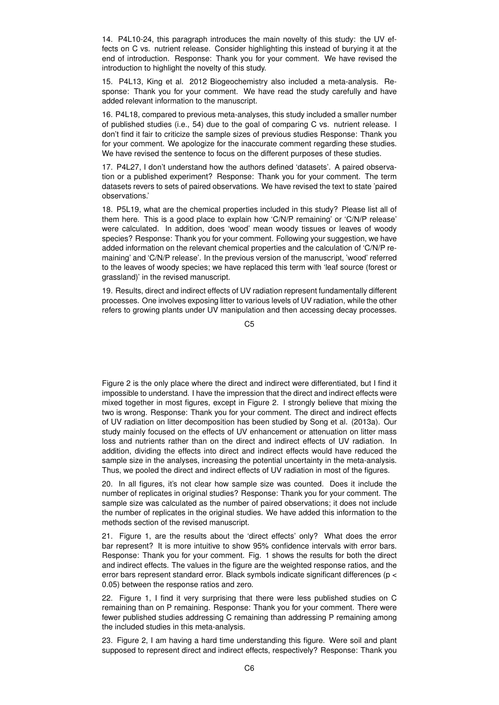14. P4L10-24, this paragraph introduces the main novelty of this study: the UV effects on C vs. nutrient release. Consider highlighting this instead of burying it at the end of introduction. Response: Thank you for your comment. We have revised the introduction to highlight the novelty of this study.

15. P4L13, King et al. 2012 Biogeochemistry also included a meta-analysis. Response: Thank you for your comment. We have read the study carefully and have added relevant information to the manuscript.

16. P4L18, compared to previous meta-analyses, this study included a smaller number of published studies (i.e., 54) due to the goal of comparing C vs. nutrient release. I don't find it fair to criticize the sample sizes of previous studies Response: Thank you for your comment. We apologize for the inaccurate comment regarding these studies. We have revised the sentence to focus on the different purposes of these studies.

17. P4L27, I don't understand how the authors defined 'datasets'. A paired observation or a published experiment? Response: Thank you for your comment. The term datasets revers to sets of paired observations. We have revised the text to state 'paired observations.'

18. P5L19, what are the chemical properties included in this study? Please list all of them here. This is a good place to explain how 'C/N/P remaining' or 'C/N/P release' were calculated. In addition, does 'wood' mean woody tissues or leaves of woody species? Response: Thank you for your comment. Following your suggestion, we have added information on the relevant chemical properties and the calculation of 'C/N/P remaining' and 'C/N/P release'. In the previous version of the manuscript, 'wood' referred to the leaves of woody species; we have replaced this term with 'leaf source (forest or grassland)' in the revised manuscript.

19. Results, direct and indirect effects of UV radiation represent fundamentally different processes. One involves exposing litter to various levels of UV radiation, while the other refers to growing plants under UV manipulation and then accessing decay processes.

C5

Figure 2 is the only place where the direct and indirect were differentiated, but I find it impossible to understand. I have the impression that the direct and indirect effects were mixed together in most figures, except in Figure 2. I strongly believe that mixing the two is wrong. Response: Thank you for your comment. The direct and indirect effects of UV radiation on litter decomposition has been studied by Song et al. (2013a). Our study mainly focused on the effects of UV enhancement or attenuation on litter mass loss and nutrients rather than on the direct and indirect effects of UV radiation. In addition, dividing the effects into direct and indirect effects would have reduced the sample size in the analyses, increasing the potential uncertainty in the meta-analysis. Thus, we pooled the direct and indirect effects of UV radiation in most of the figures.

20. In all figures, it's not clear how sample size was counted. Does it include the number of replicates in original studies? Response: Thank you for your comment. The sample size was calculated as the number of paired observations; it does not include the number of replicates in the original studies. We have added this information to the methods section of the revised manuscript.

21. Figure 1, are the results about the 'direct effects' only? What does the error bar represent? It is more intuitive to show 95% confidence intervals with error bars. Response: Thank you for your comment. Fig. 1 shows the results for both the direct and indirect effects. The values in the figure are the weighted response ratios, and the error bars represent standard error. Black symbols indicate significant differences (p < 0.05) between the response ratios and zero.

22. Figure 1, I find it very surprising that there were less published studies on C remaining than on P remaining. Response: Thank you for your comment. There were fewer published studies addressing C remaining than addressing P remaining among the included studies in this meta-analysis.

23. Figure 2, I am having a hard time understanding this figure. Were soil and plant supposed to represent direct and indirect effects, respectively? Response: Thank you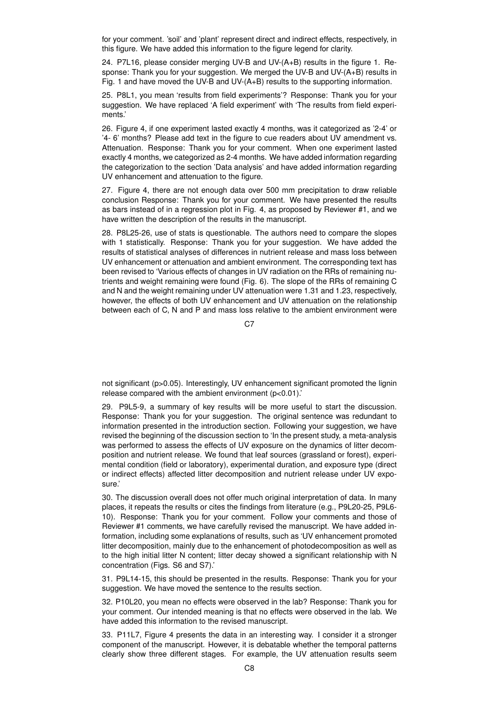for your comment. 'soil' and 'plant' represent direct and indirect effects, respectively, in this figure. We have added this information to the figure legend for clarity.

24. P7L16, please consider merging UV-B and UV-(A+B) results in the figure 1. Response: Thank you for your suggestion. We merged the UV-B and UV-(A+B) results in Fig. 1 and have moved the UV-B and UV-(A+B) results to the supporting information.

25. P8L1, you mean 'results from field experiments'? Response: Thank you for your suggestion. We have replaced 'A field experiment' with 'The results from field experiments.'

26. Figure 4, if one experiment lasted exactly 4 months, was it categorized as '2-4' or '4- 6' months? Please add text in the figure to cue readers about UV amendment vs. Attenuation. Response: Thank you for your comment. When one experiment lasted exactly 4 months, we categorized as 2-4 months. We have added information regarding the categorization to the section 'Data analysis' and have added information regarding UV enhancement and attenuation to the figure.

27. Figure 4, there are not enough data over 500 mm precipitation to draw reliable conclusion Response: Thank you for your comment. We have presented the results as bars instead of in a regression plot in Fig. 4, as proposed by Reviewer #1, and we have written the description of the results in the manuscript.

28. P8L25-26, use of stats is questionable. The authors need to compare the slopes with 1 statistically. Response: Thank you for your suggestion. We have added the results of statistical analyses of differences in nutrient release and mass loss between UV enhancement or attenuation and ambient environment. The corresponding text has been revised to 'Various effects of changes in UV radiation on the RRs of remaining nutrients and weight remaining were found (Fig. 6). The slope of the RRs of remaining C and N and the weight remaining under UV attenuation were 1.31 and 1.23, respectively, however, the effects of both UV enhancement and UV attenuation on the relationship between each of C, N and P and mass loss relative to the ambient environment were

C<sub>7</sub>

not significant (p>0.05). Interestingly, UV enhancement significant promoted the lignin release compared with the ambient environment (p<0.01).'

29. P9L5-9, a summary of key results will be more useful to start the discussion. Response: Thank you for your suggestion. The original sentence was redundant to information presented in the introduction section. Following your suggestion, we have revised the beginning of the discussion section to 'In the present study, a meta-analysis was performed to assess the effects of UV exposure on the dynamics of litter decomposition and nutrient release. We found that leaf sources (grassland or forest), experimental condition (field or laboratory), experimental duration, and exposure type (direct or indirect effects) affected litter decomposition and nutrient release under UV exposure.'

30. The discussion overall does not offer much original interpretation of data. In many places, it repeats the results or cites the findings from literature (e.g., P9L20-25, P9L6- 10). Response: Thank you for your comment. Follow your comments and those of Reviewer #1 comments, we have carefully revised the manuscript. We have added information, including some explanations of results, such as 'UV enhancement promoted litter decomposition, mainly due to the enhancement of photodecomposition as well as to the high initial litter N content; litter decay showed a significant relationship with N concentration (Figs. S6 and S7).'

31. P9L14-15, this should be presented in the results. Response: Thank you for your suggestion. We have moved the sentence to the results section.

32. P10L20, you mean no effects were observed in the lab? Response: Thank you for your comment. Our intended meaning is that no effects were observed in the lab. We have added this information to the revised manuscript.

33. P11L7, Figure 4 presents the data in an interesting way. I consider it a stronger component of the manuscript. However, it is debatable whether the temporal patterns clearly show three different stages. For example, the UV attenuation results seem